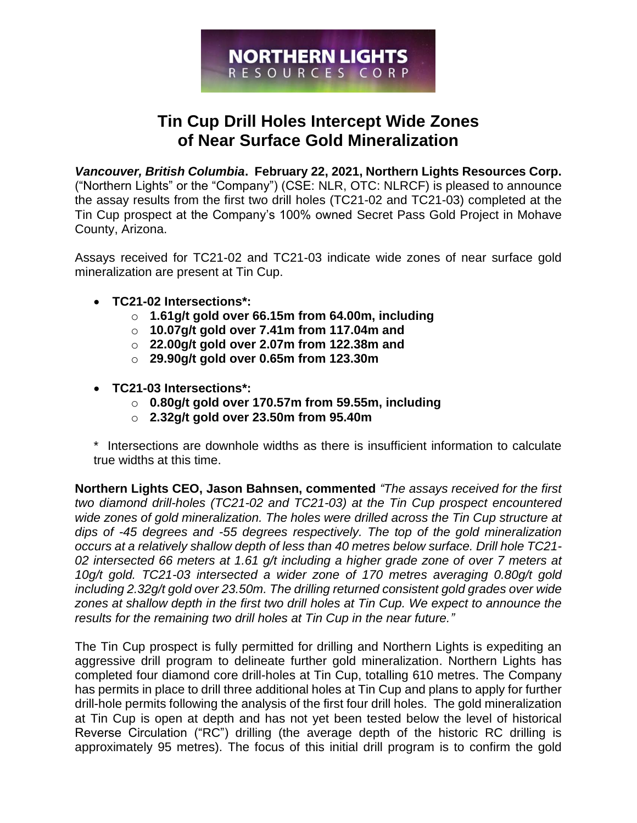

# **Tin Cup Drill Holes Intercept Wide Zones of Near Surface Gold Mineralization**

*Vancouver, British Columbia***. February 22, 2021, Northern Lights Resources Corp.**  ("Northern Lights" or the "Company") (CSE: NLR, OTC: NLRCF) is pleased to announce the assay results from the first two drill holes (TC21-02 and TC21-03) completed at the Tin Cup prospect at the Company's 100% owned Secret Pass Gold Project in Mohave County, Arizona.

Assays received for TC21-02 and TC21-03 indicate wide zones of near surface gold mineralization are present at Tin Cup.

- **TC21-02 Intersections\*:**
	- o **1.61g/t gold over 66.15m from 64.00m, including**
	- o **10.07g/t gold over 7.41m from 117.04m and**
	- o **22.00g/t gold over 2.07m from 122.38m and**
	- o **29.90g/t gold over 0.65m from 123.30m**
- **TC21-03 Intersections\*:**
	- o **0.80g/t gold over 170.57m from 59.55m, including**
	- o **2.32g/t gold over 23.50m from 95.40m**

\* Intersections are downhole widths as there is insufficient information to calculate true widths at this time.

**Northern Lights CEO, Jason Bahnsen, commented** *"The assays received for the first two diamond drill-holes (TC21-02 and TC21-03) at the Tin Cup prospect encountered wide zones of gold mineralization. The holes were drilled across the Tin Cup structure at dips of -45 degrees and -55 degrees respectively. The top of the gold mineralization occurs at a relatively shallow depth of less than 40 metres below surface. Drill hole TC21- 02 intersected 66 meters at 1.61 g/t including a higher grade zone of over 7 meters at 10g/t gold. TC21-03 intersected a wider zone of 170 metres averaging 0.80g/t gold including 2.32g/t gold over 23.50m. The drilling returned consistent gold grades over wide zones at shallow depth in the first two drill holes at Tin Cup. We expect to announce the results for the remaining two drill holes at Tin Cup in the near future."*

The Tin Cup prospect is fully permitted for drilling and Northern Lights is expediting an aggressive drill program to delineate further gold mineralization. Northern Lights has completed four diamond core drill-holes at Tin Cup, totalling 610 metres. The Company has permits in place to drill three additional holes at Tin Cup and plans to apply for further drill-hole permits following the analysis of the first four drill holes. The gold mineralization at Tin Cup is open at depth and has not yet been tested below the level of historical Reverse Circulation ("RC") drilling (the average depth of the historic RC drilling is approximately 95 metres). The focus of this initial drill program is to confirm the gold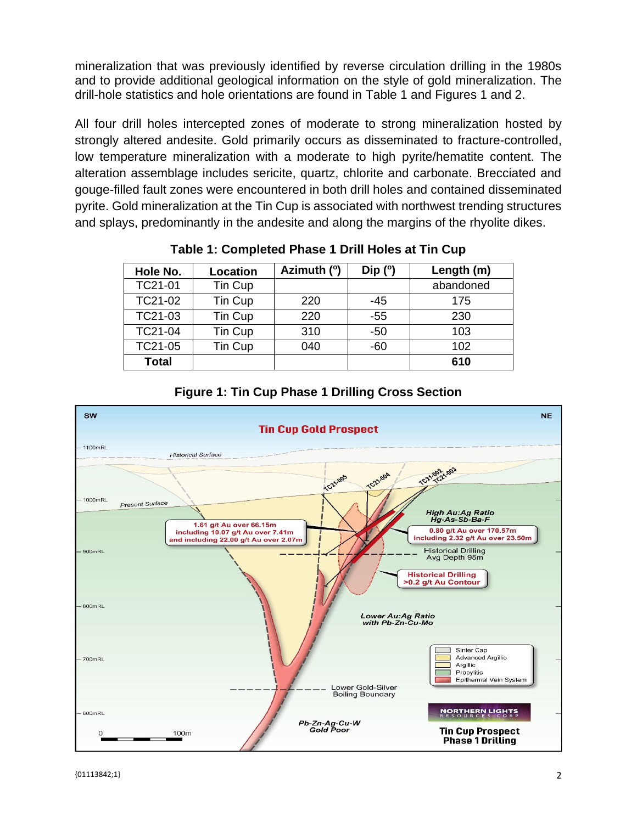mineralization that was previously identified by reverse circulation drilling in the 1980s and to provide additional geological information on the style of gold mineralization. The drill-hole statistics and hole orientations are found in Table 1 and Figures 1 and 2.

All four drill holes intercepted zones of moderate to strong mineralization hosted by strongly altered andesite. Gold primarily occurs as disseminated to fracture-controlled, low temperature mineralization with a moderate to high pyrite/hematite content. The alteration assemblage includes sericite, quartz, chlorite and carbonate. Brecciated and gouge-filled fault zones were encountered in both drill holes and contained disseminated pyrite. Gold mineralization at the Tin Cup is associated with northwest trending structures and splays, predominantly in the andesite and along the margins of the rhyolite dikes.

| Hole No.     | Location | Azimuth (°) | Dip $(°)$ | Length (m) |
|--------------|----------|-------------|-----------|------------|
| TC21-01      | Tin Cup  |             |           | abandoned  |
| TC21-02      | Tin Cup  | 220         | -45       | 175        |
| TC21-03      | Tin Cup  | 220         | $-55$     | 230        |
| TC21-04      | Tin Cup  | 310         | -50       | 103        |
| TC21-05      | Tin Cup  | 040         | $-60$     | 102        |
| <b>Total</b> |          |             |           | 610        |

**Table 1: Completed Phase 1 Drill Holes at Tin Cup**



## **Figure 1: Tin Cup Phase 1 Drilling Cross Section**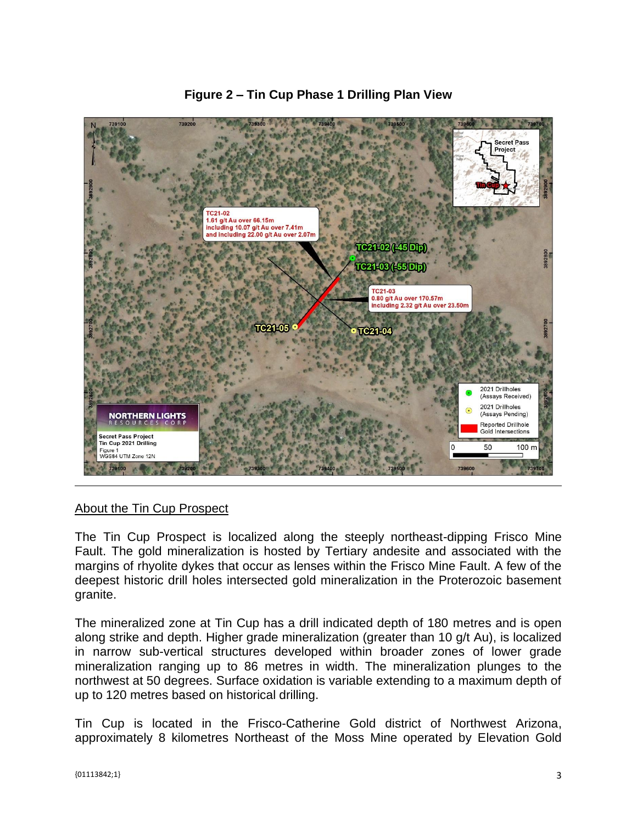

**Figure 2 – Tin Cup Phase 1 Drilling Plan View**

#### About the Tin Cup Prospect

The Tin Cup Prospect is localized along the steeply northeast-dipping Frisco Mine Fault. The gold mineralization is hosted by Tertiary andesite and associated with the margins of rhyolite dykes that occur as lenses within the Frisco Mine Fault. A few of the deepest historic drill holes intersected gold mineralization in the Proterozoic basement granite.

The mineralized zone at Tin Cup has a drill indicated depth of 180 metres and is open along strike and depth. Higher grade mineralization (greater than 10 g/t Au), is localized in narrow sub-vertical structures developed within broader zones of lower grade mineralization ranging up to 86 metres in width. The mineralization plunges to the northwest at 50 degrees. Surface oxidation is variable extending to a maximum depth of up to 120 metres based on historical drilling.

Tin Cup is located in the Frisco-Catherine Gold district of Northwest Arizona, approximately 8 kilometres Northeast of the Moss Mine operated by Elevation Gold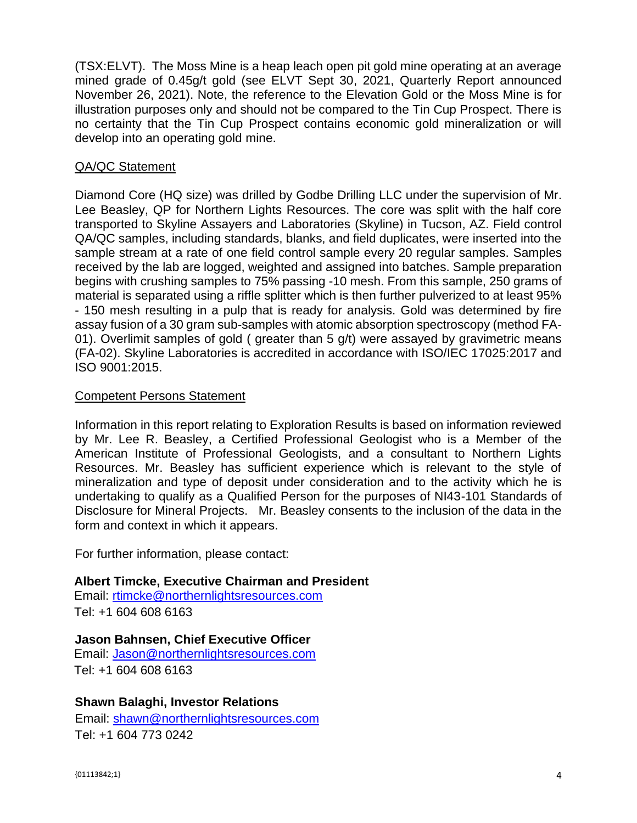(TSX:ELVT). The Moss Mine is a heap leach open pit gold mine operating at an average mined grade of 0.45g/t gold (see ELVT Sept 30, 2021, Quarterly Report announced November 26, 2021). Note, the reference to the Elevation Gold or the Moss Mine is for illustration purposes only and should not be compared to the Tin Cup Prospect. There is no certainty that the Tin Cup Prospect contains economic gold mineralization or will develop into an operating gold mine.

### QA/QC Statement

Diamond Core (HQ size) was drilled by Godbe Drilling LLC under the supervision of Mr. Lee Beasley, QP for Northern Lights Resources. The core was split with the half core transported to Skyline Assayers and Laboratories (Skyline) in Tucson, AZ. Field control QA/QC samples, including standards, blanks, and field duplicates, were inserted into the sample stream at a rate of one field control sample every 20 regular samples. Samples received by the lab are logged, weighted and assigned into batches. Sample preparation begins with crushing samples to 75% passing -10 mesh. From this sample, 250 grams of material is separated using a riffle splitter which is then further pulverized to at least 95% - 150 mesh resulting in a pulp that is ready for analysis. Gold was determined by fire assay fusion of a 30 gram sub-samples with atomic absorption spectroscopy (method FA-01). Overlimit samples of gold ( greater than 5 g/t) were assayed by gravimetric means (FA-02). Skyline Laboratories is accredited in accordance with ISO/IEC 17025:2017 and ISO 9001:2015.

#### Competent Persons Statement

Information in this report relating to Exploration Results is based on information reviewed by Mr. Lee R. Beasley, a Certified Professional Geologist who is a Member of the American Institute of Professional Geologists, and a consultant to Northern Lights Resources. Mr. Beasley has sufficient experience which is relevant to the style of mineralization and type of deposit under consideration and to the activity which he is undertaking to qualify as a Qualified Person for the purposes of NI43-101 Standards of Disclosure for Mineral Projects. Mr. Beasley consents to the inclusion of the data in the form and context in which it appears.

For further information, please contact:

#### **Albert Timcke, Executive Chairman and President**

Email: rtimcke@northernlightsresources.com Tel: +1 604 608 6163

#### **Jason Bahnsen, Chief Executive Officer**

Email: Jason@northernlightsresources.com Tel: +1 604 608 6163

#### **Shawn Balaghi, Investor Relations**

Email: [shawn@northernlightsresources.com](mailto:shawn@northernlightsresources.com) Tel: +1 604 773 0242